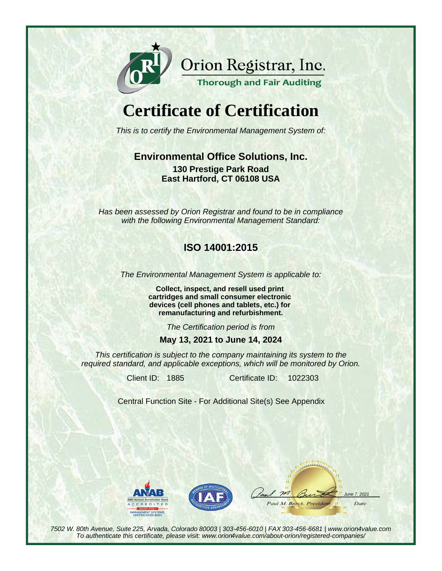

Orion Registrar, Inc.

#### **Thorough and Fair Auditing**

# **Certificate of Certification**

This is to certify the Environmental Management System of:

### **Environmental Office Solutions, Inc. 130 Prestige Park Road East Hartford, CT 06108 USA**

Has been assessed by Orion Registrar and found to be in compliance with the following Environmental Management Standard:

## **ISO 14001:2015**

The Environmental Management System is applicable to:

**Collect, inspect, and resell used print cartridges and small consumer electronic devices (cell phones and tablets, etc.) for remanufacturing and refurbishment.**

The Certification period is from

#### **May 13, 2021 to June 14, 2024**

This certification is subject to the company maintaining its system to the required standard, and applicable exceptions, which will be monitored by Orion.

Client ID: 1885 Certificate ID:

1022303

Central Function Site - For Additional Site(s) See Appendix





 $m$  $202$ Paul M. Burck, Presidem Date

7502 W. 80th Avenue, Suite 225, Arvada, Colorado 80003 | 303-456-6010 | FAX 303-456-6681 | www.orion4value.com To authenticate this certificate, please visit: www.orion4value.com/about-orion/registered-companies/